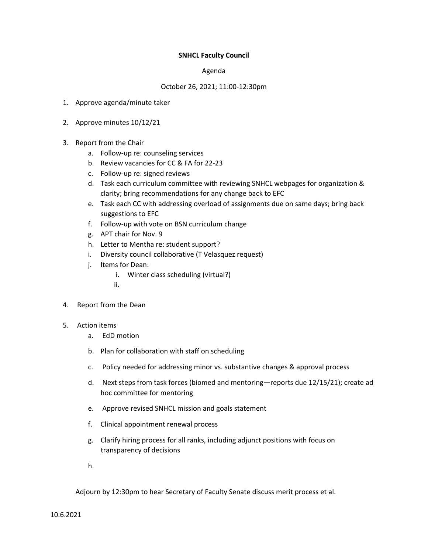# **SNHCL Faculty Council**

### Agenda

## October 26, 2021; 11:00-12:30pm

- 1. Approve agenda/minute taker
- 2. Approve minutes 10/12/21
- 3. Report from the Chair
	- a. Follow-up re: counseling services
	- b. Review vacancies for CC & FA for 22-23
	- c. Follow-up re: signed reviews
	- d. Task each curriculum committee with reviewing SNHCL webpages for organization & clarity; bring recommendations for any change back to EFC
	- e. Task each CC with addressing overload of assignments due on same days; bring back suggestions to EFC
	- f. Follow-up with vote on BSN curriculum change
	- g. APT chair for Nov. 9
	- h. Letter to Mentha re: student support?
	- i. Diversity council collaborative (T Velasquez request)
	- j. Items for Dean:
		- i. Winter class scheduling (virtual?)
		- ii.
- 4. Report from the Dean

#### 5. Action items

- a. EdD motion
- b. Plan for collaboration with staff on scheduling
- c. Policy needed for addressing minor vs. substantive changes & approval process
- d. Next steps from task forces (biomed and mentoring—reports due 12/15/21); create ad hoc committee for mentoring
- e. Approve revised SNHCL mission and goals statement
- f. Clinical appointment renewal process
- g. Clarify hiring process for all ranks, including adjunct positions with focus on transparency of decisions
- h.

Adjourn by 12:30pm to hear Secretary of Faculty Senate discuss merit process et al.